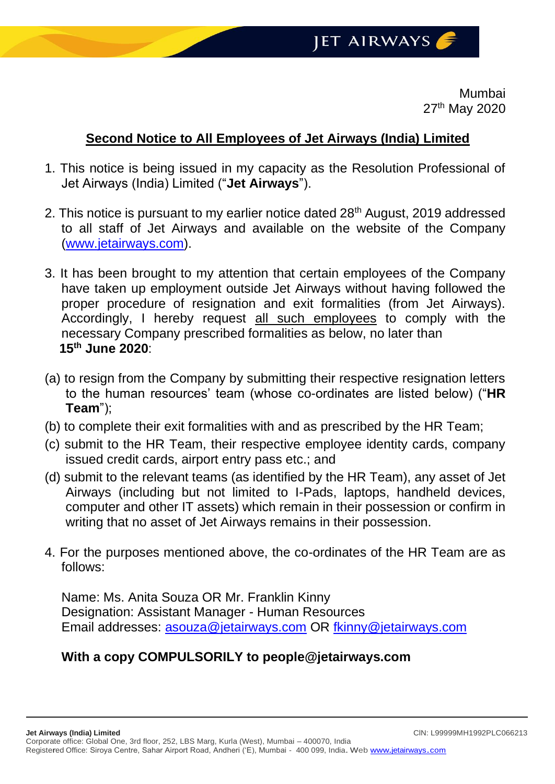Mumbai 27<sup>th</sup> May 2020

## **Second Notice to All Employees of Jet Airways (India) Limited**

- 1. This notice is being issued in my capacity as the Resolution Professional of Jet Airways (India) Limited ("**Jet Airways**").
- 2. This notice is pursuant to my earlier notice dated 28<sup>th</sup> August, 2019 addressed to all staff of Jet Airways and available on the website of the Company [\(www.jetairways.com\)](http://www.jetairways.com/).
- 3. It has been brought to my attention that certain employees of the Company have taken up employment outside Jet Airways without having followed the proper procedure of resignation and exit formalities (from Jet Airways). Accordingly, I hereby request all such employees to comply with the necessary Company prescribed formalities as below, no later than **15th June 2020**:
- (a) to resign from the Company by submitting their respective resignation letters to the human resources' team (whose co-ordinates are listed below) ("**HR Team**");
- (b) to complete their exit formalities with and as prescribed by the HR Team;
- (c) submit to the HR Team, their respective employee identity cards, company issued credit cards, airport entry pass etc.; and
- (d) submit to the relevant teams (as identified by the HR Team), any asset of Jet Airways (including but not limited to I-Pads, laptops, handheld devices, computer and other IT assets) which remain in their possession or confirm in writing that no asset of Jet Airways remains in their possession.
- 4. For the purposes mentioned above, the co-ordinates of the HR Team are as follows:

Name: Ms. Anita Souza OR Mr. Franklin Kinny Designation: Assistant Manager - Human Resources Email addresses: [asouza@jetairways.com](mailto:asouza@jetairways.com) OR [fkinny@jetairways.com](mailto:fkinny@jetairways.com)

## **With a copy COMPULSORILY to people@jetairways.com**